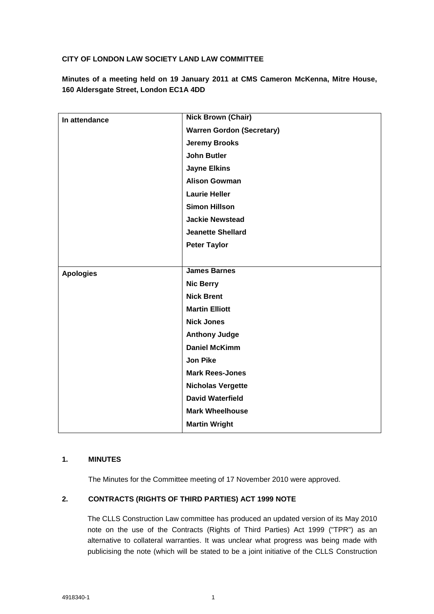### **CITY OF LONDON LAW SOCIETY LAND LAW COMMITTEE**

**Minutes of a meeting held on 19 January 2011 at CMS Cameron McKenna, Mitre House, 160 Aldersgate Street, London EC1A 4DD**

| In attendance    | <b>Nick Brown (Chair)</b>        |
|------------------|----------------------------------|
|                  | <b>Warren Gordon (Secretary)</b> |
|                  | <b>Jeremy Brooks</b>             |
|                  | <b>John Butler</b>               |
|                  | <b>Jayne Elkins</b>              |
|                  | <b>Alison Gowman</b>             |
|                  | <b>Laurie Heller</b>             |
|                  | <b>Simon Hillson</b>             |
|                  | <b>Jackie Newstead</b>           |
|                  | <b>Jeanette Shellard</b>         |
|                  | <b>Peter Taylor</b>              |
|                  |                                  |
| <b>Apologies</b> | <b>James Barnes</b>              |
|                  | <b>Nic Berry</b>                 |
|                  | <b>Nick Brent</b>                |
|                  | <b>Martin Elliott</b>            |
|                  | <b>Nick Jones</b>                |
|                  | <b>Anthony Judge</b>             |
|                  | <b>Daniel McKimm</b>             |
|                  | <b>Jon Pike</b>                  |
|                  | <b>Mark Rees-Jones</b>           |
|                  | <b>Nicholas Vergette</b>         |
|                  | <b>David Waterfield</b>          |
|                  | <b>Mark Wheelhouse</b>           |
|                  | <b>Martin Wright</b>             |

# **1. MINUTES**

The Minutes for the Committee meeting of 17 November 2010 were approved.

### **2. CONTRACTS (RIGHTS OF THIRD PARTIES) ACT 1999 NOTE**

The CLLS Construction Law committee has produced an updated version of its May 2010 note on the use of the Contracts (Rights of Third Parties) Act 1999 ("TPR") as an alternative to collateral warranties. It was unclear what progress was being made with publicising the note (which will be stated to be a joint initiative of the CLLS Construction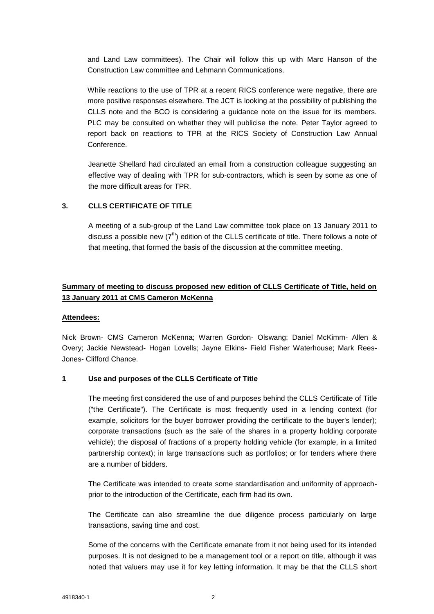and Land Law committees). The Chair will follow this up with Marc Hanson of the Construction Law committee and Lehmann Communications.

While reactions to the use of TPR at a recent RICS conference were negative, there are more positive responses elsewhere. The JCT is looking at the possibility of publishing the CLLS note and the BCO is considering a guidance note on the issue for its members. PLC may be consulted on whether they will publicise the note. Peter Taylor agreed to report back on reactions to TPR at the RICS Society of Construction Law Annual Conference.

Jeanette Shellard had circulated an email from a construction colleague suggesting an effective way of dealing with TPR for sub-contractors, which is seen by some as one of the more difficult areas for TPR.

#### **3. CLLS CERTIFICATE OF TITLE**

A meeting of a sub-group of the Land Law committee took place on 13 January 2011 to discuss a possible new  $(7<sup>th</sup>)$  edition of the CLLS certificate of title. There follows a note of that meeting, that formed the basis of the discussion at the committee meeting.

# **Summary of meeting to discuss proposed new edition of CLLS Certificate of Title, held on 13 January 2011 at CMS Cameron McKenna**

#### **Attendees:**

Nick Brown- CMS Cameron McKenna; Warren Gordon- Olswang; Daniel McKimm- Allen & Overy; Jackie Newstead- Hogan Lovells; Jayne Elkins- Field Fisher Waterhouse; Mark Rees-Jones- Clifford Chance.

#### **1 Use and purposes of the CLLS Certificate of Title**

The meeting first considered the use of and purposes behind the CLLS Certificate of Title ("the Certificate"). The Certificate is most frequently used in a lending context (for example, solicitors for the buyer borrower providing the certificate to the buyer's lender); corporate transactions (such as the sale of the shares in a property holding corporate vehicle); the disposal of fractions of a property holding vehicle (for example, in a limited partnership context); in large transactions such as portfolios; or for tenders where there are a number of bidders.

The Certificate was intended to create some standardisation and uniformity of approachprior to the introduction of the Certificate, each firm had its own.

The Certificate can also streamline the due diligence process particularly on large transactions, saving time and cost.

Some of the concerns with the Certificate emanate from it not being used for its intended purposes. It is not designed to be a management tool or a report on title, although it was noted that valuers may use it for key letting information. It may be that the CLLS short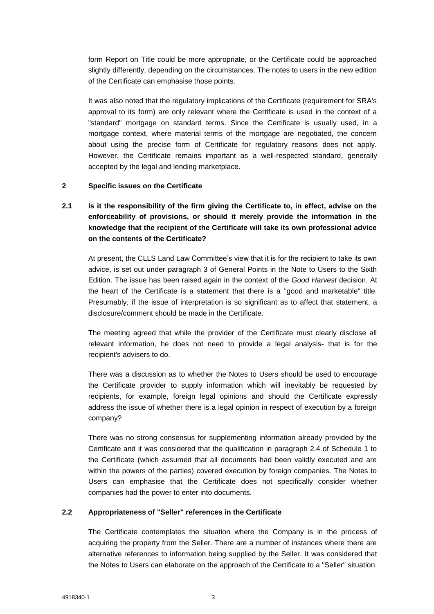form Report on Title could be more appropriate, or the Certificate could be approached slightly differently, depending on the circumstances. The notes to users in the new edition of the Certificate can emphasise those points.

It was also noted that the regulatory implications of the Certificate (requirement for SRA's approval to its form) are only relevant where the Certificate is used in the context of a "standard" mortgage on standard terms. Since the Certificate is usually used, in a mortgage context, where material terms of the mortgage are negotiated, the concern about using the precise form of Certificate for regulatory reasons does not apply. However, the Certificate remains important as a well-respected standard, generally accepted by the legal and lending marketplace.

#### **2 Specific issues on the Certificate**

# **2.1 Is it the responsibility of the firm giving the Certificate to, in effect, advise on the enforceability of provisions, or should it merely provide the information in the knowledge that the recipient of the Certificate will take its own professional advice on the contents of the Certificate?**

At present, the CLLS Land Law Committee's view that it is for the recipient to take its own advice, is set out under paragraph 3 of General Points in the Note to Users to the Sixth Edition. The issue has been raised again in the context of the *Good Harvest* decision. At the heart of the Certificate is a statement that there is a "good and marketable" title. Presumably, if the issue of interpretation is so significant as to affect that statement, a disclosure/comment should be made in the Certificate.

The meeting agreed that while the provider of the Certificate must clearly disclose all relevant information, he does not need to provide a legal analysis- that is for the recipient's advisers to do.

There was a discussion as to whether the Notes to Users should be used to encourage the Certificate provider to supply information which will inevitably be requested by recipients, for example, foreign legal opinions and should the Certificate expressly address the issue of whether there is a legal opinion in respect of execution by a foreign company?

There was no strong consensus for supplementing information already provided by the Certificate and it was considered that the qualification in paragraph 2.4 of Schedule 1 to the Certificate (which assumed that all documents had been validly executed and are within the powers of the parties) covered execution by foreign companies. The Notes to Users can emphasise that the Certificate does not specifically consider whether companies had the power to enter into documents.

### **2.2 Appropriateness of "Seller" references in the Certificate**

The Certificate contemplates the situation where the Company is in the process of acquiring the property from the Seller. There are a number of instances where there are alternative references to information being supplied by the Seller. It was considered that the Notes to Users can elaborate on the approach of the Certificate to a "Seller" situation.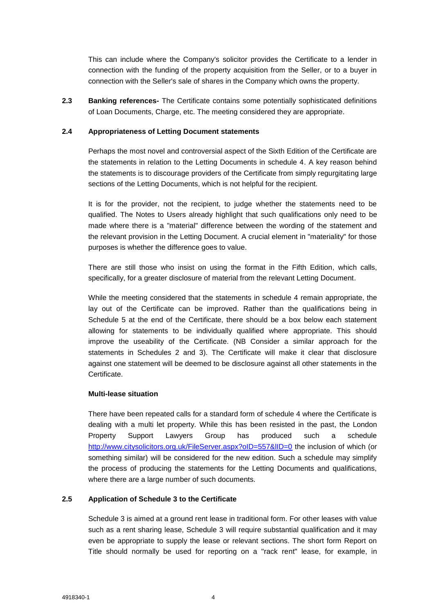This can include where the Company's solicitor provides the Certificate to a lender in connection with the funding of the property acquisition from the Seller, or to a buyer in connection with the Seller's sale of shares in the Company which owns the property.

**2.3 Banking references-** The Certificate contains some potentially sophisticated definitions of Loan Documents, Charge, etc. The meeting considered they are appropriate.

#### **2.4 Appropriateness of Letting Document statements**

Perhaps the most novel and controversial aspect of the Sixth Edition of the Certificate are the statements in relation to the Letting Documents in schedule 4. A key reason behind the statements is to discourage providers of the Certificate from simply regurgitating large sections of the Letting Documents, which is not helpful for the recipient.

It is for the provider, not the recipient, to judge whether the statements need to be qualified. The Notes to Users already highlight that such qualifications only need to be made where there is a "material" difference between the wording of the statement and the relevant provision in the Letting Document. A crucial element in "materiality" for those purposes is whether the difference goes to value.

There are still those who insist on using the format in the Fifth Edition, which calls, specifically, for a greater disclosure of material from the relevant Letting Document.

While the meeting considered that the statements in schedule 4 remain appropriate, the lay out of the Certificate can be improved. Rather than the qualifications being in Schedule 5 at the end of the Certificate, there should be a box below each statement allowing for statements to be individually qualified where appropriate. This should improve the useability of the Certificate. (NB Consider a similar approach for the statements in Schedules 2 and 3). The Certificate will make it clear that disclosure against one statement will be deemed to be disclosure against all other statements in the **Certificate** 

#### **Multi-lease situation**

There have been repeated calls for a standard form of schedule 4 where the Certificate is dealing with a multi let property. While this has been resisted in the past, the London Property Support Lawyers Group has produced such a schedule <http://www.citysolicitors.org.uk/FileServer.aspx?oID=557&lID=0> the inclusion of which (or something similar) will be considered for the new edition. Such a schedule may simplify the process of producing the statements for the Letting Documents and qualifications, where there are a large number of such documents.

### **2.5 Application of Schedule 3 to the Certificate**

Schedule 3 is aimed at a ground rent lease in traditional form. For other leases with value such as a rent sharing lease, Schedule 3 will require substantial qualification and it may even be appropriate to supply the lease or relevant sections. The short form Report on Title should normally be used for reporting on a "rack rent" lease, for example, in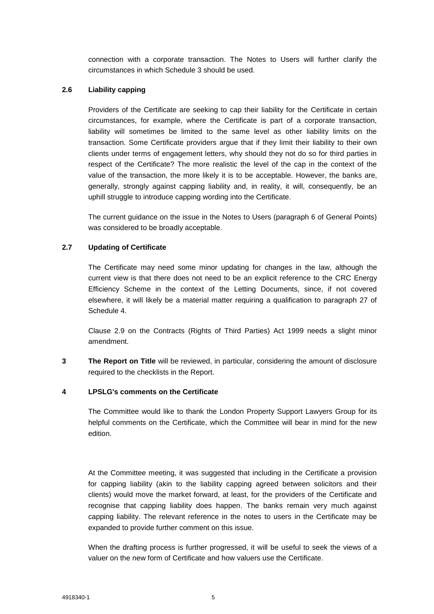connection with a corporate transaction. The Notes to Users will further clarify the circumstances in which Schedule 3 should be used.

### **2.6 Liability capping**

Providers of the Certificate are seeking to cap their liability for the Certificate in certain circumstances, for example, where the Certificate is part of a corporate transaction, liability will sometimes be limited to the same level as other liability limits on the transaction. Some Certificate providers argue that if they limit their liability to their own clients under terms of engagement letters, why should they not do so for third parties in respect of the Certificate? The more realistic the level of the cap in the context of the value of the transaction, the more likely it is to be acceptable. However, the banks are, generally, strongly against capping liability and, in reality, it will, consequently, be an uphill struggle to introduce capping wording into the Certificate.

The current guidance on the issue in the Notes to Users (paragraph 6 of General Points) was considered to be broadly acceptable.

## **2.7 Updating of Certificate**

The Certificate may need some minor updating for changes in the law, although the current view is that there does not need to be an explicit reference to the CRC Energy Efficiency Scheme in the context of the Letting Documents, since, if not covered elsewhere, it will likely be a material matter requiring a qualification to paragraph 27 of Schedule 4.

Clause 2.9 on the Contracts (Rights of Third Parties) Act 1999 needs a slight minor amendment.

**3 The Report on Title** will be reviewed, in particular, considering the amount of disclosure required to the checklists in the Report.

#### **4 LPSLG's comments on the Certificate**

The Committee would like to thank the London Property Support Lawyers Group for its helpful comments on the Certificate, which the Committee will bear in mind for the new edition.

At the Committee meeting, it was suggested that including in the Certificate a provision for capping liability (akin to the liability capping agreed between solicitors and their clients) would move the market forward, at least, for the providers of the Certificate and recognise that capping liability does happen. The banks remain very much against capping liability. The relevant reference in the notes to users in the Certificate may be expanded to provide further comment on this issue.

When the drafting process is further progressed, it will be useful to seek the views of a valuer on the new form of Certificate and how valuers use the Certificate.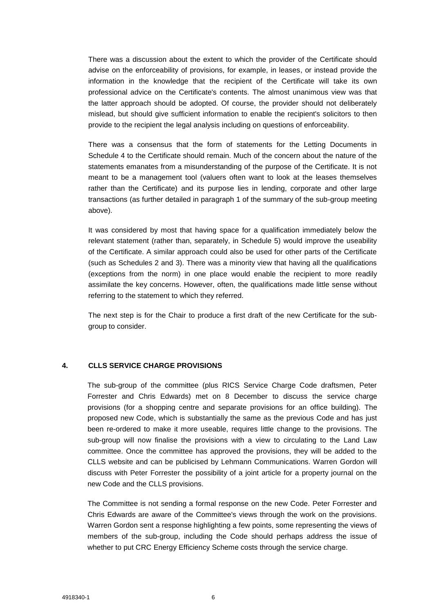There was a discussion about the extent to which the provider of the Certificate should advise on the enforceability of provisions, for example, in leases, or instead provide the information in the knowledge that the recipient of the Certificate will take its own professional advice on the Certificate's contents. The almost unanimous view was that the latter approach should be adopted. Of course, the provider should not deliberately mislead, but should give sufficient information to enable the recipient's solicitors to then provide to the recipient the legal analysis including on questions of enforceability.

There was a consensus that the form of statements for the Letting Documents in Schedule 4 to the Certificate should remain. Much of the concern about the nature of the statements emanates from a misunderstanding of the purpose of the Certificate. It is not meant to be a management tool (valuers often want to look at the leases themselves rather than the Certificate) and its purpose lies in lending, corporate and other large transactions (as further detailed in paragraph 1 of the summary of the sub-group meeting above).

It was considered by most that having space for a qualification immediately below the relevant statement (rather than, separately, in Schedule 5) would improve the useability of the Certificate. A similar approach could also be used for other parts of the Certificate (such as Schedules 2 and 3). There was a minority view that having all the qualifications (exceptions from the norm) in one place would enable the recipient to more readily assimilate the key concerns. However, often, the qualifications made little sense without referring to the statement to which they referred.

The next step is for the Chair to produce a first draft of the new Certificate for the subgroup to consider.

#### **4. CLLS SERVICE CHARGE PROVISIONS**

The sub-group of the committee (plus RICS Service Charge Code draftsmen, Peter Forrester and Chris Edwards) met on 8 December to discuss the service charge provisions (for a shopping centre and separate provisions for an office building). The proposed new Code, which is substantially the same as the previous Code and has just been re-ordered to make it more useable, requires little change to the provisions. The sub-group will now finalise the provisions with a view to circulating to the Land Law committee. Once the committee has approved the provisions, they will be added to the CLLS website and can be publicised by Lehmann Communications. Warren Gordon will discuss with Peter Forrester the possibility of a joint article for a property journal on the new Code and the CLLS provisions.

The Committee is not sending a formal response on the new Code. Peter Forrester and Chris Edwards are aware of the Committee's views through the work on the provisions. Warren Gordon sent a response highlighting a few points, some representing the views of members of the sub-group, including the Code should perhaps address the issue of whether to put CRC Energy Efficiency Scheme costs through the service charge.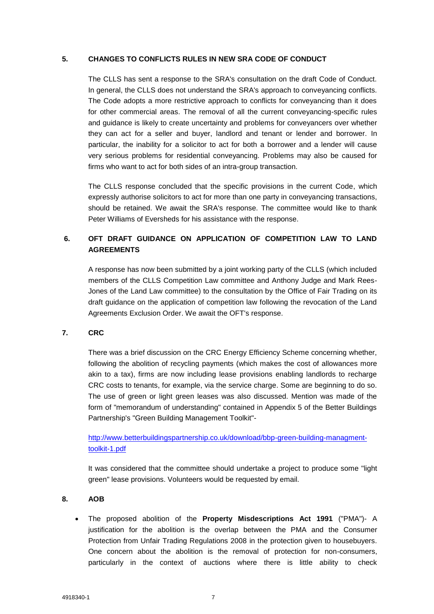#### **5. CHANGES TO CONFLICTS RULES IN NEW SRA CODE OF CONDUCT**

The CLLS has sent a response to the SRA's consultation on the draft Code of Conduct. In general, the CLLS does not understand the SRA's approach to conveyancing conflicts. The Code adopts a more restrictive approach to conflicts for conveyancing than it does for other commercial areas. The removal of all the current conveyancing-specific rules and guidance is likely to create uncertainty and problems for conveyancers over whether they can act for a seller and buyer, landlord and tenant or lender and borrower. In particular, the inability for a solicitor to act for both a borrower and a lender will cause very serious problems for residential conveyancing. Problems may also be caused for firms who want to act for both sides of an intra-group transaction.

The CLLS response concluded that the specific provisions in the current Code, which expressly authorise solicitors to act for more than one party in conveyancing transactions, should be retained. We await the SRA's response. The committee would like to thank Peter Williams of Eversheds for his assistance with the response.

# **6. OFT DRAFT GUIDANCE ON APPLICATION OF COMPETITION LAW TO LAND AGREEMENTS**

A response has now been submitted by a joint working party of the CLLS (which included members of the CLLS Competition Law committee and Anthony Judge and Mark Rees-Jones of the Land Law committee) to the consultation by the Office of Fair Trading on its draft guidance on the application of competition law following the revocation of the Land Agreements Exclusion Order. We await the OFT's response.

#### **7. CRC**

There was a brief discussion on the CRC Energy Efficiency Scheme concerning whether, following the abolition of recycling payments (which makes the cost of allowances more akin to a tax), firms are now including lease provisions enabling landlords to recharge CRC costs to tenants, for example, via the service charge. Some are beginning to do so. The use of green or light green leases was also discussed. Mention was made of the form of "memorandum of understanding" contained in Appendix 5 of the Better Buildings Partnership's "Green Building Management Toolkit"-

# [http://www.betterbuildingspartnership.co.uk/download/bbp-green-building-managment](http://www.betterbuildingspartnership.co.uk/download/bbp-green-building-managment-toolkit-1.pdf)[toolkit-1.pdf](http://www.betterbuildingspartnership.co.uk/download/bbp-green-building-managment-toolkit-1.pdf)

It was considered that the committee should undertake a project to produce some "light green" lease provisions. Volunteers would be requested by email.

### **8. AOB**

 The proposed abolition of the **Property Misdescriptions Act 1991** ("PMA")- A justification for the abolition is the overlap between the PMA and the Consumer Protection from Unfair Trading Regulations 2008 in the protection given to housebuyers. One concern about the abolition is the removal of protection for non-consumers, particularly in the context of auctions where there is little ability to check